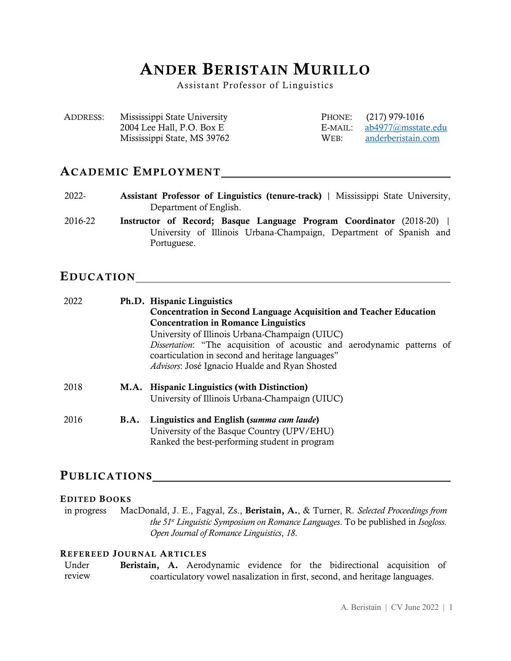# ANDER BERISTAIN MURILLO

Assistant Professor of Linguistics

| ADDRESS: | Mississippi State University |      | PHONE: (217) 979-1016      |
|----------|------------------------------|------|----------------------------|
|          | 2004 Lee Hall, P.O. Box E    |      | E-MAIL: ab4977@msstate.edu |
|          | Mississippi State, MS 39762  | WEB: | anderberistain.com         |

### ACADEMIC EMPLOYMENT

- 2022- Assistant Professor of Linguistics (tenure-track) | Mississippi State University, Department of English.
- 2016-22 Instructor of Record; Basque Language Program Coordinator (2018-20) | University of Illinois Urbana-Champaign, Department of Spanish and Portuguese.

### EDUCATION

| 2022 |             | Ph.D. Hispanic Linguistics<br><b>Concentration in Second Language Acquisition and Teacher Education</b>                                                                              |  |  |  |
|------|-------------|--------------------------------------------------------------------------------------------------------------------------------------------------------------------------------------|--|--|--|
|      |             |                                                                                                                                                                                      |  |  |  |
|      |             | <b>Concentration in Romance Linguistics</b>                                                                                                                                          |  |  |  |
|      |             | University of Illinois Urbana-Champaign (UIUC)                                                                                                                                       |  |  |  |
|      |             | <i>Dissertation</i> : "The acquisition of acoustic and aerodynamic patterns of<br>coarticulation in second and heritage languages"<br>Advisors: José Ignacio Hualde and Ryan Shosted |  |  |  |
| 2018 |             | M.A. Hispanic Linguistics (with Distinction)                                                                                                                                         |  |  |  |
|      |             | University of Illinois Urbana-Champaign (UIUC)                                                                                                                                       |  |  |  |
| 2016 | <b>B.A.</b> | Linguistics and English (summa cum laude)                                                                                                                                            |  |  |  |
|      |             | University of the Basque Country (UPV/EHU)                                                                                                                                           |  |  |  |
|      |             | Ranked the best-performing student in program                                                                                                                                        |  |  |  |

## PUBLICATIONS

### EDITED BOOKS

in progress MacDonald, J. E., Fagyal, Zs., Beristain, A., & Turner, R. *Selected Proceedings from the 51st Linguistic Symposium on Romance Languages*. To be published in *Isogloss. Open Journal of Romance Linguistics*, *18*.

### REFEREED JOURNAL ARTICLES

| Under  |  | Beristain, A. Aerodynamic evidence for the bidirectional acquisition of     |  |  |  |
|--------|--|-----------------------------------------------------------------------------|--|--|--|
| review |  | coarticulatory vowel nasalization in first, second, and heritage languages. |  |  |  |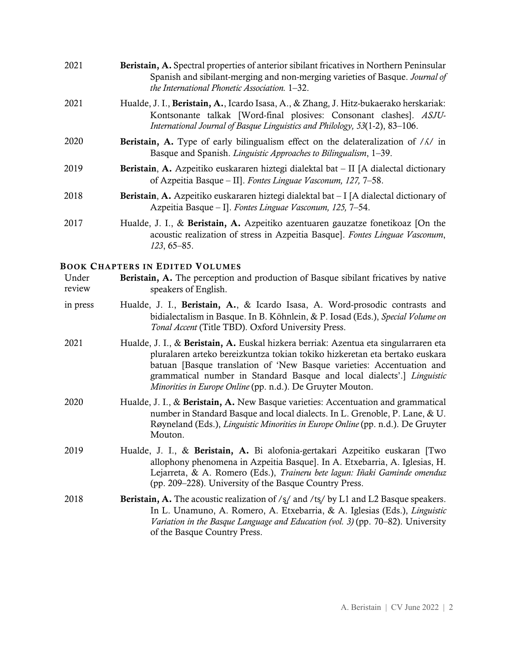| 2021 | Beristain, A. Spectral properties of anterior sibilant fricatives in Northern Peninsular<br>Spanish and sibilant-merging and non-merging varieties of Basque. Journal of<br>the International Phonetic Association. 1–32.                   |
|------|---------------------------------------------------------------------------------------------------------------------------------------------------------------------------------------------------------------------------------------------|
| 2021 | Hualde, J. I., Beristain, A., Icardo Isasa, A., & Zhang, J. Hitz-bukaerako herskariak:<br>Kontsonante talkak [Word-final plosives: Consonant clashes]. ASJU-<br>International Journal of Basque Linguistics and Philology, 53(1-2), 83-106. |
| 2020 | <b>Beristain, A.</b> Type of early bilingualism effect on the delateralization of $/\lambda$ in<br>Basque and Spanish. Linguistic Approaches to Bilingualism, 1-39.                                                                         |
| 2019 | <b>Beristain, A.</b> Azpeitiko euskararen hiztegi dialektal bat $-$ II [A dialectal dictionary<br>of Azpeitia Basque – II]. Fontes Linguae Vasconum, 127, 7–58.                                                                             |
| 2018 | <b>Beristain, A.</b> Azpeitiko euskararen hiztegi dialektal bat $-I$ [A dialectal dictionary of<br>Azpeitia Basque – I]. Fontes Linguae Vasconum, 125, 7–54.                                                                                |
| 2017 | Hualde, J. I., & Beristain, A. Azpeitiko azentuaren gauzatze fonetikoaz [On the<br>acoustic realization of stress in Azpeitia Basque]. Fontes Linguae Vasconum,<br>$123, 65 - 85.$                                                          |

#### BOOK CHAPTERS IN EDITED VOLUMES

| Under  | <b>Beristain, A.</b> The perception and production of Basque sibilant fricatives by native |  |
|--------|--------------------------------------------------------------------------------------------|--|
| review | speakers of English.                                                                       |  |

- in press Hualde, J. I., Beristain, A., & Icardo Isasa, A. Word-prosodic contrasts and bidialectalism in Basque. In B. Köhnlein, & P. Iosad (Eds.), *Special Volume on Tonal Accent* (Title TBD). Oxford University Press.
- 2021 Hualde, J. I., & Beristain, A. Euskal hizkera berriak: Azentua eta singularraren eta pluralaren arteko bereizkuntza tokian tokiko hizkeretan eta bertako euskara batuan [Basque translation of 'New Basque varieties: Accentuation and grammatical number in Standard Basque and local dialects'.] *Linguistic Minorities in Europe Online* (pp. n.d.). De Gruyter Mouton.
- 2020 Hualde, J. I., & Beristain, A. New Basque varieties: Accentuation and grammatical number in Standard Basque and local dialects. In L. Grenoble, P. Lane, & U. Røyneland (Eds.), *Linguistic Minorities in Europe Online* (pp. n.d.). De Gruyter Mouton.
- 2019 Hualde, J. I., & Beristain, A. Bi alofonia-gertakari Azpeitiko euskaran [Two allophony phenomena in Azpeitia Basque]. In A. Etxebarria, A. Iglesias, H. Lejarreta, & A. Romero (Eds.), *Traineru bete lagun: Iñaki Gaminde omenduz* (pp. 209–228). University of the Basque Country Press.
- 2018 **Beristain, A.** The acoustic realization of  $\frac{s}{4}$  and  $\frac{t}{s}$  by L1 and L2 Basque speakers. In L. Unamuno, A. Romero, A. Etxebarria, & A. Iglesias (Eds.), *Linguistic*  Variation in the Basque Language and Education (vol. 3) (pp. 70–82). University of the Basque Country Press.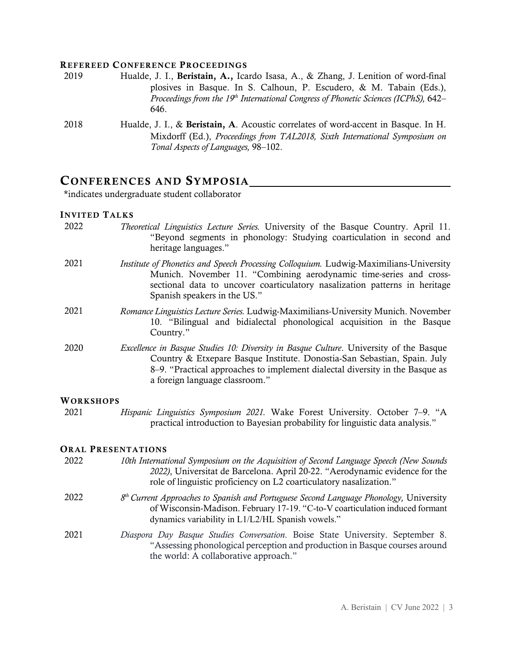#### REFEREED CONFERENCE PROCEEDINGS

- 2019 Hualde, J. I., Beristain, A., Icardo Isasa, A., & Zhang, J. Lenition of word-final plosives in Basque. In S. Calhoun, P. Escudero, & M. Tabain (Eds.), *Proceedings from the 19th International Congress of Phonetic Sciences (ICPhS),* 642– 646.
- 2018 Hualde, J. I., & Beristain, A. Acoustic correlates of word-accent in Basque. In H. Mixdorff (Ed.), *Proceedings from TAL2018, Sixth International Symposium on Tonal Aspects of Languages,* 98–102.

### CONFERENCES AND SYMPOSIA

\*indicates undergraduate student collaborator

#### INVITED TALKS

| 2022      | <i>Theoretical Linguistics Lecture Series.</i> University of the Basque Country. April 11.<br>"Beyond segments in phonology: Studying coarticulation in second and<br>heritage languages."                                                                                                  |
|-----------|---------------------------------------------------------------------------------------------------------------------------------------------------------------------------------------------------------------------------------------------------------------------------------------------|
| 2021      | Institute of Phonetics and Speech Processing Colloquium. Ludwig-Maximilians-University<br>Munich. November 11. "Combining aerodynamic time-series and cross-<br>sectional data to uncover coarticulatory nasalization patterns in heritage<br>Spanish speakers in the US."                  |
| 2021      | Romance Linguistics Lecture Series. Ludwig-Maximilians-University Munich. November<br>10. "Bilingual and bidialectal phonological acquisition in the Basque<br>Country."                                                                                                                    |
| 2020      | <i>Excellence in Basque Studies 10: Diversity in Basque Culture.</i> University of the Basque<br>Country & Etxepare Basque Institute. Donostia-San Sebastian, Spain. July<br>8–9. "Practical approaches to implement dialectal diversity in the Basque as<br>a foreign language classroom." |
| WORKSHOPS |                                                                                                                                                                                                                                                                                             |
| 2021      | Hispanic Linguistics Symposium 2021. Wake Forest University. October 7–9. "A<br>practical introduction to Bayesian probability for linguistic data analysis."                                                                                                                               |

#### ORAL PRESENTATIONS

- 2022 *10th International Symposium on the Acquisition of Second Language Speech (New Sounds 2022)*, Universitat de Barcelona. April 20-22. "Aerodynamic evidence for the role of linguistic proficiency on L2 coarticulatory nasalization."
- 2022 *8th Current Approaches to Spanish and Portuguese Second Language Phonology,* University of Wisconsin-Madison. February 17-19. "C-to-V coarticulation induced formant dynamics variability in L1/L2/HL Spanish vowels."
- 2021 *Diaspora Day Basque Studies Conversation*. Boise State University. September 8. "Assessing phonological perception and production in Basque courses around the world: A collaborative approach."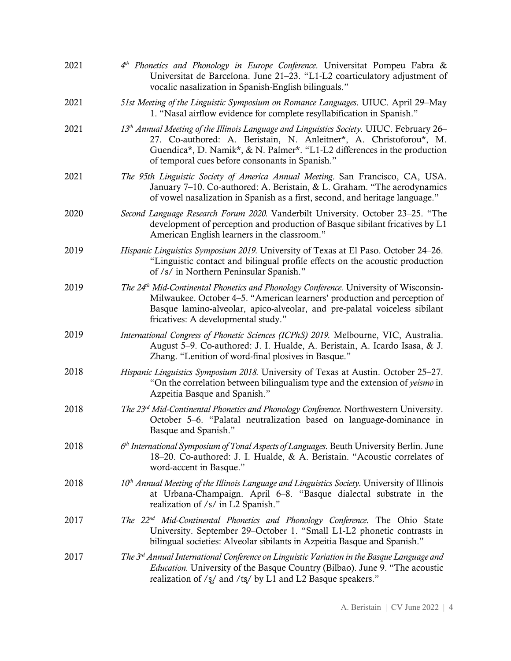| 2021 | $4th$ Phonetics and Phonology in Europe Conference. Universitat Pompeu Fabra &<br>Universitat de Barcelona. June 21–23. "L1-L2 coarticulatory adjustment of<br>vocalic nasalization in Spanish-English bilinguals."                                                                                       |
|------|-----------------------------------------------------------------------------------------------------------------------------------------------------------------------------------------------------------------------------------------------------------------------------------------------------------|
| 2021 | 51st Meeting of the Linguistic Symposium on Romance Languages. UIUC. April 29–May<br>1. "Nasal airflow evidence for complete resyllabification in Spanish."                                                                                                                                               |
| 2021 | 13 <sup>th</sup> Annual Meeting of the Illinois Language and Linguistics Society. UIUC. February 26–<br>27. Co-authored: A. Beristain, N. Anleitner*, A. Christoforou*, M.<br>Guendica*, D. Namik*, & N. Palmer*. "L1-L2 differences in the production<br>of temporal cues before consonants in Spanish." |
| 2021 | The 95th Linguistic Society of America Annual Meeting. San Francisco, CA, USA.<br>January 7-10. Co-authored: A. Beristain, & L. Graham. "The aerodynamics<br>of vowel nasalization in Spanish as a first, second, and heritage language."                                                                 |
| 2020 | Second Language Research Forum 2020. Vanderbilt University. October 23–25. "The<br>development of perception and production of Basque sibilant fricatives by L1<br>American English learners in the classroom."                                                                                           |
| 2019 | Hispanic Linguistics Symposium 2019. University of Texas at El Paso. October 24-26.<br>"Linguistic contact and bilingual profile effects on the acoustic production<br>of /s/ in Northern Peninsular Spanish."                                                                                            |
| 2019 | The 24 <sup>th</sup> Mid-Continental Phonetics and Phonology Conference. University of Wisconsin-<br>Milwaukee. October 4–5. "American learners' production and perception of<br>Basque lamino-alveolar, apico-alveolar, and pre-palatal voiceless sibilant<br>fricatives: A developmental study."        |
| 2019 | International Congress of Phonetic Sciences (ICPhS) 2019. Melbourne, VIC, Australia.<br>August 5-9. Co-authored: J. I. Hualde, A. Beristain, A. Icardo Isasa, & J.<br>Zhang. "Lenition of word-final plosives in Basque."                                                                                 |
| 2018 | Hispanic Linguistics Symposium 2018. University of Texas at Austin. October 25–27.<br>"On the correlation between bilingualism type and the extension of yeismo in<br>Azpeitia Basque and Spanish."                                                                                                       |
| 2018 | The 23 <sup>rd</sup> Mid-Continental Phonetics and Phonology Conference. Northwestern University.<br>October 5–6. "Palatal neutralization based on language-dominance in<br>Basque and Spanish."                                                                                                          |
| 2018 | $6th International Symposium of Tonal Aspects of Languages. Beuth University Berlin. June$<br>18-20. Co-authored: J. I. Hualde, & A. Beristain. "Acoustic correlates of<br>word-accent in Basque."                                                                                                        |
| 2018 | $10th$ Annual Meeting of the Illinois Language and Linguistics Society. University of Illinois<br>at Urbana-Champaign. April 6-8. "Basque dialectal substrate in the<br>realization of /s/ in L2 Spanish."                                                                                                |
| 2017 | The 22 <sup>nd</sup> Mid-Continental Phonetics and Phonology Conference. The Ohio State<br>University. September 29–October 1. "Small L1-L2 phonetic contrasts in<br>bilingual societies: Alveolar sibilants in Azpeitia Basque and Spanish."                                                             |
| 2017 | The 3 <sup>rd</sup> Annual International Conference on Linguistic Variation in the Basque Language and<br><i>Education</i> . University of the Basque Country (Bilbao). June 9. "The acoustic<br>realization of /s/ and /ts/ by L1 and L2 Basque speakers."                                               |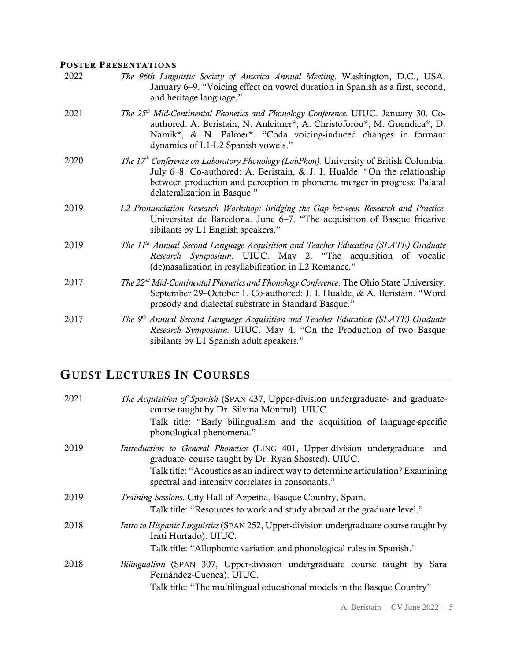### POSTER PRESENTATIONS

| 2022 | The 96th Linguistic Society of America Annual Meeting. Washington, D.C., USA.<br>January 6–9. "Voicing effect on vowel duration in Spanish as a first, second,<br>and heritage language."                                                                                                   |
|------|---------------------------------------------------------------------------------------------------------------------------------------------------------------------------------------------------------------------------------------------------------------------------------------------|
| 2021 | The 25 <sup>th</sup> Mid-Continental Phonetics and Phonology Conference. UIUC. January 30. Co-<br>authored: A. Beristain, N. Anleitner*, A. Christoforou*, M. Guendica*, D.<br>Namik*, & N. Palmer*. "Coda voicing-induced changes in formant<br>dynamics of L1-L2 Spanish vowels."         |
| 2020 | The 17 <sup>th</sup> Conference on Laboratory Phonology (LabPhon). University of British Columbia.<br>July 6–8. Co-authored: A. Beristain, & J. I. Hualde. "On the relationship<br>between production and perception in phoneme merger in progress: Palatal<br>delateralization in Basque." |
| 2019 | L2 Pronunciation Research Workshop: Bridging the Gap between Research and Practice.<br>Universitat de Barcelona. June 6–7. "The acquisition of Basque fricative<br>sibilants by L1 English speakers."                                                                                       |
| 2019 | The 11 <sup>th</sup> Annual Second Language Acquisition and Teacher Education (SLATE) Graduate<br>Research Symposium. UIUC. May 2. "The acquisition of vocalic<br>(de)nasalization in resyllabification in L2 Romance."                                                                     |
| 2017 | The 22 <sup>nd</sup> Mid-Continental Phonetics and Phonology Conference. The Ohio State University.<br>September 29–October 1. Co-authored: J. I. Hualde, & A. Beristain. "Word<br>prosody and dialectal substrate in Standard Basque."                                                     |
| 2017 | The 9 <sup>th</sup> Annual Second Language Acquisition and Teacher Education (SLATE) Graduate<br>Research Symposium. UIUC. May 4. "On the Production of two Basque<br>sibilants by L1 Spanish adult speakers."                                                                              |

# GUEST LECTURES IN COURSES

| 2021 | <i>The Acquisition of Spanish</i> (SPAN 437, Upper-division undergraduate- and graduate-<br>course taught by Dr. Silvina Montrul). UIUC.<br>Talk title: "Early bilingualism and the acquisition of language-specific<br>phonological phenomena."                            |
|------|-----------------------------------------------------------------------------------------------------------------------------------------------------------------------------------------------------------------------------------------------------------------------------|
| 2019 | Introduction to General Phonetics (LING 401, Upper-division undergraduate- and<br>graduate-course taught by Dr. Ryan Shosted). UIUC.<br>Talk title: "Acoustics as an indirect way to determine articulation? Examining<br>spectral and intensity correlates in consonants." |
| 2019 | Training Sessions. City Hall of Azpeitia, Basque Country, Spain.<br>Talk title: "Resources to work and study abroad at the graduate level."                                                                                                                                 |
| 2018 | <i>Intro to Hispanic Linguistics</i> (SPAN 252, Upper-division undergraduate course taught by<br>Irati Hurtado). UIUC.<br>Talk title: "Allophonic variation and phonological rules in Spanish."                                                                             |
| 2018 | <i>Bilingualism</i> (SPAN 307, Upper-division undergraduate course taught by Sara<br>Fernández-Cuenca). UIUC.<br>Talk title: "The multilingual educational models in the Basque Country"<br>.                                                                               |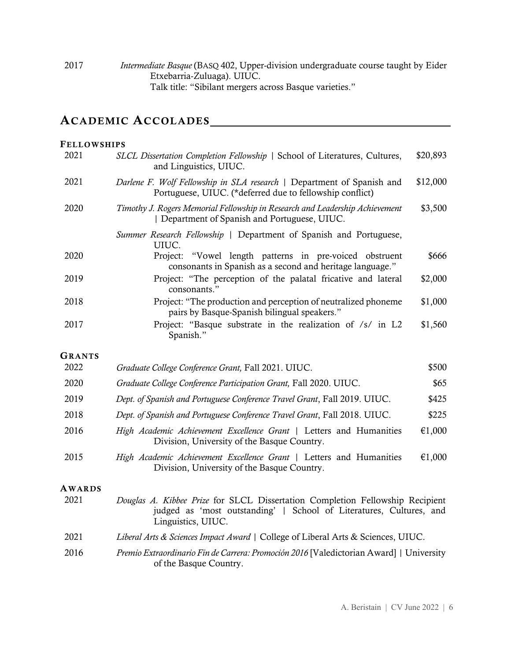2017 *Intermediate Basque* (BASQ 402, Upper-division undergraduate course taught by Eider Etxebarria-Zuluaga). UIUC. Talk title: "Sibilant mergers across Basque varieties."

## ACADEMIC ACCOLADES

| <b>FELLOWSHIPS</b> |                                                                                                                                                                            |          |
|--------------------|----------------------------------------------------------------------------------------------------------------------------------------------------------------------------|----------|
| 2021               | SLCL Dissertation Completion Fellowship   School of Literatures, Cultures,<br>and Linguistics, UIUC.                                                                       | \$20,893 |
| 2021               | Darlene F. Wolf Fellowship in SLA research   Department of Spanish and<br>Portuguese, UIUC. (*deferred due to fellowship conflict)                                         | \$12,000 |
| 2020               | Timothy J. Rogers Memorial Fellowship in Research and Leadership Achievement<br>  Department of Spanish and Portuguese, UIUC.                                              | \$3,500  |
|                    | Summer Research Fellowship   Department of Spanish and Portuguese,<br>UIUC.                                                                                                |          |
| 2020               | Project:<br>"Vowel length patterns in pre-voiced obstruent<br>consonants in Spanish as a second and heritage language."                                                    | \$666    |
| 2019               | Project: "The perception of the palatal fricative and lateral<br>consonants."                                                                                              | \$2,000  |
| 2018               | Project: "The production and perception of neutralized phoneme<br>pairs by Basque-Spanish bilingual speakers."                                                             | \$1,000  |
| 2017               | Project: "Basque substrate in the realization of /s/ in L2<br>Spanish."                                                                                                    | \$1,560  |
| <b>GRANTS</b>      |                                                                                                                                                                            |          |
| 2022               | Graduate College Conference Grant, Fall 2021. UIUC.                                                                                                                        | \$500    |
| 2020               | Graduate College Conference Participation Grant, Fall 2020. UIUC.                                                                                                          | \$65     |
| 2019               | Dept. of Spanish and Portuguese Conference Travel Grant, Fall 2019. UIUC.                                                                                                  | \$425    |
| 2018               | Dept. of Spanish and Portuguese Conference Travel Grant, Fall 2018. UIUC.                                                                                                  | \$225    |
| 2016               | High Academic Achievement Excellence Grant   Letters and Humanities<br>Division, University of the Basque Country.                                                         | €1,000   |
| 2015               | High Academic Achievement Excellence Grant   Letters and Humanities<br>Division, University of the Basque Country.                                                         | €1,000   |
| <b>AWARDS</b>      |                                                                                                                                                                            |          |
| 2021               | Douglas A. Kibbee Prize for SLCL Dissertation Completion Fellowship Recipient<br>judged as 'most outstanding'   School of Literatures, Cultures, and<br>Linguistics, UIUC. |          |
| 2021               | Liberal Arts & Sciences Impact Award   College of Liberal Arts & Sciences, UIUC.                                                                                           |          |
| 2016               | Premio Extraordinario Fin de Carrera: Promoción 2016 [Valedictorian Award]   University<br>of the Basque Country.                                                          |          |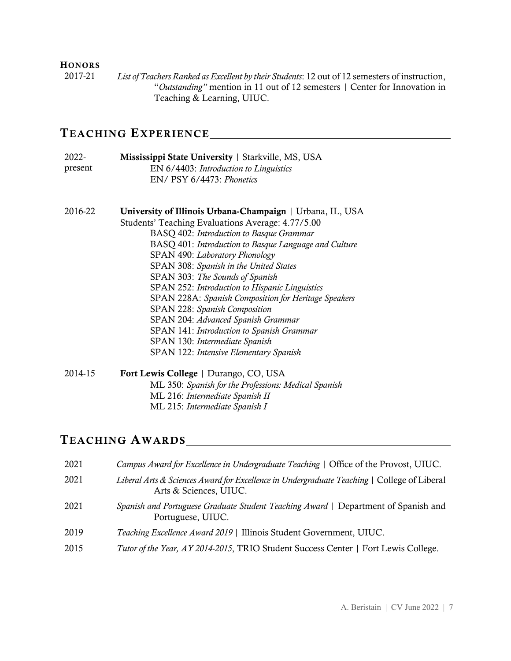### **HONORS**

2017-21 *List ofTeachers Ranked as Excellent by their Students*: 12 out of 12 semesters of instruction, "*Outstanding"* mention in 11 out of 12 semesters | Center for Innovation in Teaching & Learning, UIUC.

### TEACHING EXPERIENCE

| 2022-   | Mississippi State University   Starkville, MS, USA |
|---------|----------------------------------------------------|
| present | EN 6/4403: Introduction to Linguistics             |
|         | EN/ PSY 6/4473: Phonetics                          |

- 2016-22 University of Illinois Urbana-Champaign | Urbana, IL, USA Students' Teaching Evaluations Average: 4.77/5.00 BASQ 402: *Introduction to Basque Grammar* BASQ 401: *Introduction to Basque Language and Culture* SPAN 490: *Laboratory Phonology* SPAN 308: *Spanish in the United States* SPAN 303: *The Sounds of Spanish* SPAN 252: *Introduction to Hispanic Linguistics* SPAN 228A: *Spanish Composition for Heritage Speakers* SPAN 228: *Spanish Composition* SPAN 204: *Advanced Spanish Grammar* SPAN 141: *Introduction to Spanish Grammar* SPAN 130: *Intermediate Spanish* SPAN 122: *Intensive Elementary Spanish*
- 2014-15 Fort Lewis College | Durango, CO, USA ML 350: *Spanish for the Professions: Medical Spanish* ML 216: *Intermediate Spanish II* ML 215: *Intermediate Spanish I*

### TEACHING AWARDS

| 2021 | Campus Award for Excellence in Undergraduate Teaching   Office of the Provost, UIUC.                                  |
|------|-----------------------------------------------------------------------------------------------------------------------|
| 2021 | Liberal Arts & Sciences Award for Excellence in Undergraduate Teaching   College of Liberal<br>Arts & Sciences, UIUC. |
| 2021 | Spanish and Portuguese Graduate Student Teaching Award   Department of Spanish and<br>Portuguese, UIUC.               |
| 2019 | Teaching Excellence Award 2019   Illinois Student Government, UIUC.                                                   |
| 2015 | Tutor of the Year, AY 2014-2015, TRIO Student Success Center   Fort Lewis College.                                    |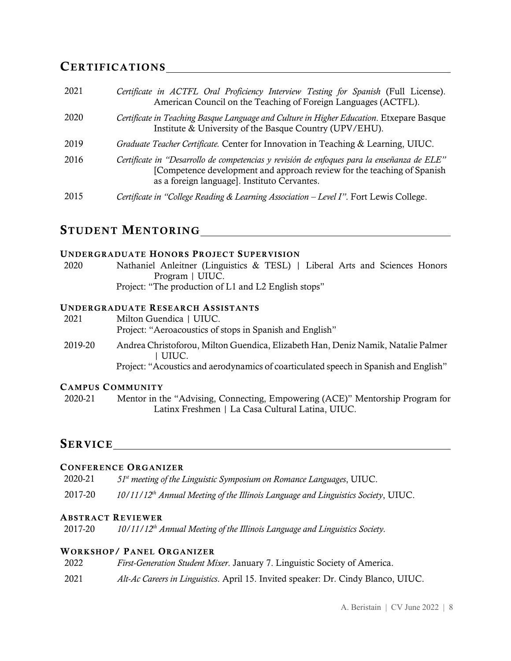### CERTIFICATIONS

| 2021 | Certificate in ACTFL Oral Proficiency Interview Testing for Spanish (Full License).<br>American Council on the Teaching of Foreign Languages (ACTFL).                                                                  |
|------|------------------------------------------------------------------------------------------------------------------------------------------------------------------------------------------------------------------------|
| 2020 | Certificate in Teaching Basque Language and Culture in Higher Education. Etxepare Basque<br>Institute & University of the Basque Country (UPV/EHU).                                                                    |
| 2019 | Graduate Teacher Certificate. Center for Innovation in Teaching & Learning, UIUC.                                                                                                                                      |
| 2016 | Certificate in "Desarrollo de competencias y revisión de enfoques para la enseñanza de ELE"<br>[Competence development and approach review for the teaching of Spanish<br>as a foreign language]. Instituto Cervantes. |
| 2015 | Certificate in "College Reading & Learning Association - Level I". Fort Lewis College.                                                                                                                                 |

### STUDENT MENTORING

#### UNDERGRADUATE HONORS PROJECT SUPERVISION

2020 Nathaniel Anleitner (Linguistics & TESL) | Liberal Arts and Sciences Honors Program | UIUC. Project: "The production of L1 and L2 English stops"

### UNDERGRADUATE RESEARCH ASSISTANTS

| 2021    | Milton Guendica   UIUC.<br>Project: "Aeroacoustics of stops in Spanish and English"       |
|---------|-------------------------------------------------------------------------------------------|
| 2019-20 | Andrea Christoforou, Milton Guendica, Elizabeth Han, Deniz Namik, Natalie Palmer<br>UIUC. |
|         | Project: "Acoustics and aerodynamics of coarticulated speech in Spanish and English"      |

### CAMPUS COMMUNITY

2020-21 Mentor in the "Advising, Connecting, Empowering (ACE)" Mentorship Program for Latinx Freshmen | La Casa Cultural Latina, UIUC.

### SERVICE **SERVICE**

### CONFERENCE ORGANIZER

2020-21 *51st meeting of the Linguistic Symposium on Romance Languages*, UIUC.

2017-20 *10/11/12th Annual Meeting of the Illinois Language and Linguistics Society*, UIUC.

#### ABSTRACT REVIEWER

2017-20 *10/11/12th Annual Meeting of the Illinois Language and Linguistics Society.*

### WORKSHOP/ PANEL ORGANIZER

- 2022 *First-Generation Student Mixer*. January 7. Linguistic Society of America.
- 2021 *Alt-Ac Careers in Linguistics*. April 15. Invited speaker: Dr. Cindy Blanco, UIUC.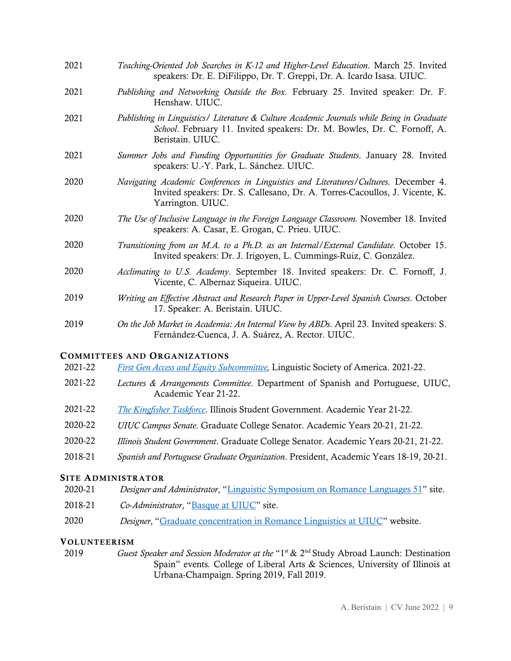| 2021 | Teaching-Oriented Job Searches in K-12 and Higher-Level Education. March 25. Invited<br>speakers: Dr. E. DiFilippo, Dr. T. Greppi, Dr. A. Icardo Isasa. UIUC.                             |
|------|-------------------------------------------------------------------------------------------------------------------------------------------------------------------------------------------|
| 2021 | Publishing and Networking Outside the Box. February 25. Invited speaker: Dr. F.<br>Henshaw. UIUC.                                                                                         |
| 2021 | Publishing in Linguistics/ Literature & Culture Academic Journals while Being in Graduate<br>School. February 11. Invited speakers: Dr. M. Bowles, Dr. C. Fornoff, A.<br>Beristain. UIUC. |
| 2021 | Summer Jobs and Funding Opportunities for Graduate Students. January 28. Invited<br>speakers: U.-Y. Park, L. Sánchez. UIUC.                                                               |
| 2020 | Navigating Academic Conferences in Linguistics and Literatures/Cultures. December 4.<br>Invited speakers: Dr. S. Callesano, Dr. A. Torres-Cacoullos, J. Vicente, K.<br>Yarrington. UIUC.  |
| 2020 | The Use of Inclusive Language in the Foreign Language Classroom. November 18. Invited<br>speakers: A. Casar, E. Grogan, C. Prieu. UIUC.                                                   |
| 2020 | Transitioning from an M.A. to a Ph.D. as an Internal/External Candidate. October 15.<br>Invited speakers: Dr. J. Irigoyen, L. Cummings-Ruiz, C. González.                                 |
| 2020 | Acclimating to U.S. Academy. September 18. Invited speakers: Dr. C. Fornoff, J.<br>Vicente, C. Albernaz Siqueira. UIUC.                                                                   |
| 2019 | Writing an Effective Abstract and Research Paper in Upper-Level Spanish Courses. October<br>17. Speaker: A. Beristain. UIUC.                                                              |
| 2019 | On the Job Market in Academia: An Internal View by ABDs. April 23. Invited speakers: S.<br>Fernández-Cuenca, J. A. Suárez, A. Rector. UIUC.                                               |

### COMMITTEES AND ORGANIZATIONS

|  | 2021-22 | <b>First Gen Access and Equity Subcommittee, Linguistic Society of America. 2021-22.</b> |
|--|---------|------------------------------------------------------------------------------------------|
|--|---------|------------------------------------------------------------------------------------------|

- 2021-22 *Lectures & Arrangements Committee*. Department of Spanish and Portuguese, UIUC, Academic Year 21-22.
- 2021-22 *[The Kingfisher Taskforce](https://kingfisheruiuc.wixsite.com/uiuc)*. Illinois Student Government. Academic Year 21-22.
- 2020-22 *UIUC Campus Senate*. Graduate College Senator. Academic Years 20-21, 21-22.
- 2020-22 *Illinois Student Government*. Graduate College Senator. Academic Years 20-21, 21-22.
- 2018-21 *Spanish and Portuguese Graduate Organization*. President, Academic Years 18-19, 20-21.

### SITE ADMINISTRATOR

| 2020-21 | <i>Designer and Administrator</i> , "Linguistic Symposium on Romance Languages 51" site. |  |  |  |
|---------|------------------------------------------------------------------------------------------|--|--|--|
|         |                                                                                          |  |  |  |

- 2018-21 *Co-Administrator*, ["Basque at UIUC"](https://www.facebook.com/basqueuiuc/) site.
- 2020 *Designer*, ["Graduate concentration in Romance Linguistics at UIUC"](https://romancelinguistics.illinois.edu/) website.

#### VOLUNTEERISM

2019 *Guest Speaker and Session Moderator at the* "1<sup>st</sup> & 2<sup>nd</sup> Study Abroad Launch: Destination Spain" events*.* College of Liberal Arts & Sciences, University of Illinois at Urbana-Champaign. Spring 2019, Fall 2019.